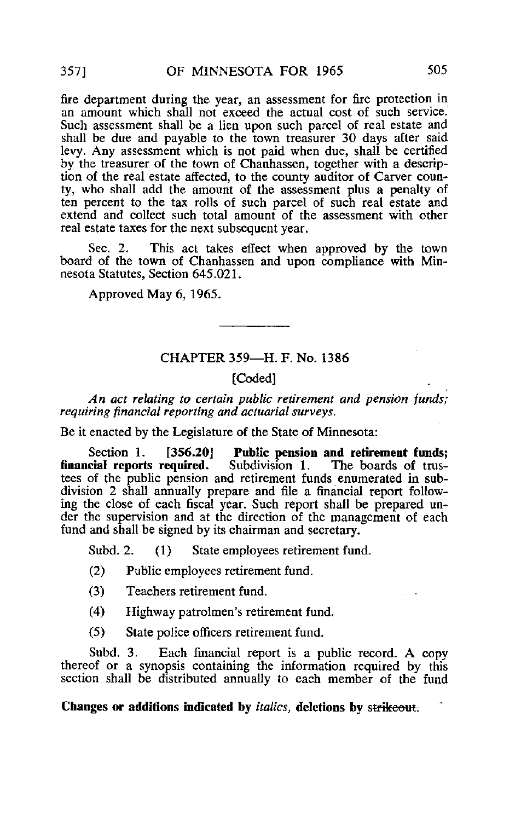fire department during the year, an assessment for fire protection in an amount which shall not exceed the actual cost of such service. Such assessment shall be a lien upon such parcel of real estate and shall be due and payable to the town treasurer 30 days after said levy. Any assessment which is not paid when due, shall be certified by the treasurer of the town of Chanhassen, together with a description of the real estate affected, to the county auditor of Carver county, who shall add the amount of the assessment plus a penalty of ten percent to the tax rolls of such parcel of such real estate and extend and collect such total amount of the assessment with other real estate taxes for the next subsequent year.

Sec. 2. This act takes effect when approved by the town board of the town of Chanhassen and upon compliance with Minnesota Statutes, Section 645.021.

Approved May 6, 1965.

# CHAPTER 359—H. F. No. 1386

## [Coded]

An act relating to certain public retirement and pension funds; requiring financial reporting and actuarial surveys.

Be it enacted by the Legislature of the State of Minnesota:

Section 1. [356.20] Public pension and retirement funds;<br>financial reports required. Subdivision 1. The boards of trus-Subdivision 1. The boards of trustees of the public pension and retirement funds enumerated in subdivision 2 shall annually prepare and file a financial report following the close of each fiscal year. Such report shall be prepared under the supervision and at the direction of the management of each fund and shall be signed by its chairman and secretary.

Subd. 2. (1) State employees retirement fund.

- (2) Public employees retirement fund.
- (3) Teachers retirement fund.
- (4) Highway patrolmen's retirement fund.
- (5) State police officers retirement fund.

Subd. 3. Each financial report is a public record. A copy thereof or a synopsis containing the information required by this section shall be distributed annually to each member of the fund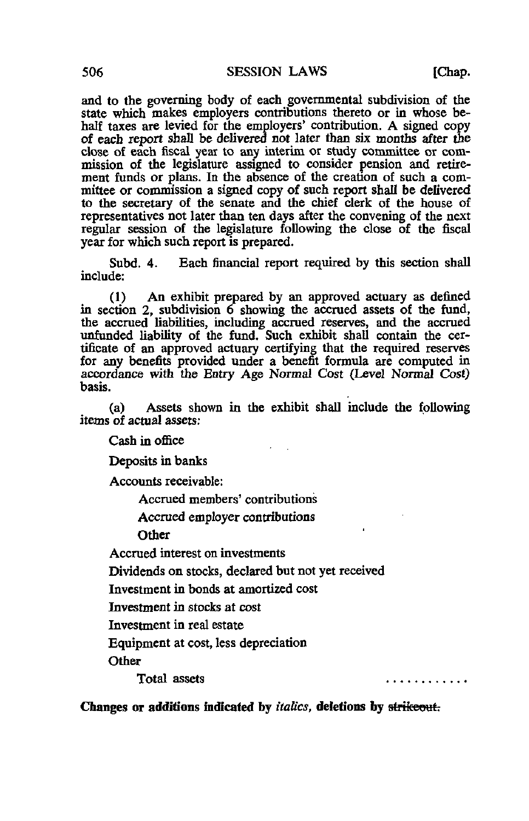and to the governing body of each governmental subdivision of the state which makes employers contributions thereto or in whose behalf taxes are levied for the employers' contribution. A signed copy of each report shall be delivered not later than six months after the close of each fiscal year to any interim or study committee or commission of the legislature assigned to consider pension and retirement funds or plans. In the absence of the creation of such a committee or commission a signed copy of such report shall be delivered to the secretary of the senate and the chief clerk of the house of representatives not later than ten days after the convening of the next regular session of the legislature following the close of the fiscal year for which such report is prepared.

Subd. 4. Each financial report required by this section shall include:

(1) An exhibit prepared by an approved actuary as defined in section 2, subdivision 6 showing the accrued assets of the fund, the accrued liabilities, including accrued reserves, and the accrued unfunded liability of the fund. Such exhibit shall contain the certificate of an approved actuary certifying that the required reserves for any benefits provided under a benefit formula are computed in accordance with the Entry Age Normal Cost (Level Normal Cost) basis.

(a) Assets shown in the exhibit shall include the following items of actual assets:

Cash in office

Deposits in banks

Accounts receivable:

Accrued members' contributions

Accrued employer contributions

**Other** 

Accrued interest on investments

Dividends on stocks, declared but not yet received

Investment in bonds at amortized cost

Investment in stocks at cost

Investment in real estate

Equipment at cost, less depreciation

**Other** 

Total assets

. . . . . **. .** . . . . .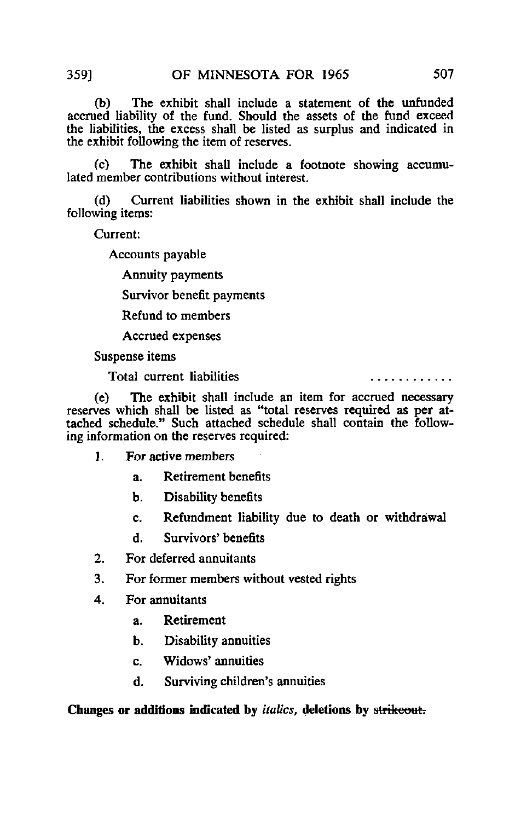(b) The exhibit shall include a statement of the unfunded accrued liability of the fund. Should the assets of the fund exceed the liabilities, the excess shall be listed as surplus and indicated in the exhibit following the item of reserves.

(c) The exhibit shall include a footnote showing accumulated member contributions without interest.

(d) Current liabilities shown in the exhibit shall include the following items:

Current:

Accounts payable

Annuity payments

Survivor benefit payments

Refund to members

Accrued expenses

Suspense items

Total current liabilities

. . . . . . . . . . *.* .

(e) The exhibit shall include an item for accrued necessary reserves which shall be listed as "total reserves required as per attached schedule." Such attached schedule shall contain the following information on the reserves required:

- 1. For active members
	- a. Retirement benefits
	- b. Disability benefits
	- c. Refundment liability due to death or withdrawal
	- d. Survivors' benefits
- 2. For deferred annuitants
- 3. For former members without vested rights
- 4. For annuitants
	- a. Retirement
	- b. Disability annuities
	- c. Widows\* annuities
	- d. Surviving children's annuities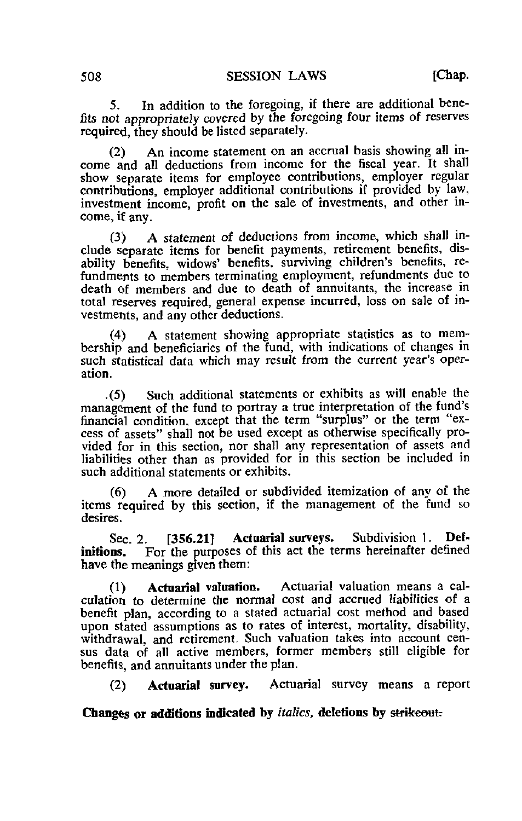5. In addition to the foregoing, if there are additional benefits not appropriately covered by the foregoing four items of reserves required, they should be listed separately.

(2) An income statement on an accrual basis showing all income and all deductions from income for the fiscal year. It shall show separate items for employee contributions, employer regular contributions, employer additional contributions if provided by law, investment income, profit on the sale of investments, and other income, if any.

(3) A statement of deductions from income, which shall include separate items for benefit payments, retirement benefits, disability benefits, widows' benefits, surviving children's benefits, refundments to members terminating employment, refundments due to death of members and due to death of annuitants, the increase in total reserves required, general expense incurred, loss on sale of investments, and any other deductions.

(4) A statement showing appropriate statistics as to membership and beneficiaries of the fund, with indications of changes in such statistical data which may result from the current year's operation.

-(5) Such additional statements or exhibits as will enable the management of the fund to portray a true interpretation of the fund's financial condition, except that the term "surplus" or the term "excess of assets" shall not be used except as otherwise specifically provided for in this section, nor shall any representation of assets and liabilities other than as provided for in this section be included in such additional statements or exhibits.

(6) A more detailed or subdivided itemization of any of the items required by this section, if the management of the fund so desires.

Sec. 2. [356.21] Actuarial surveys. Subdivision 1. Definitions. For the purposes of this act the terms hereinafter defined have the meanings given them:

(1) Actuarial valuation. Actuarial valuation means a calculation to determine the normal cost and accrued liabilities of a benefit plan, according to a stated actuarial cost method and based upon stated assumptions as to rates of interest, mortality, disability, withdrawal, and retirement. Such valuation takes into account census data of all active members, former members still eligible for benefits, and annuitants under the plan.

(2) Actuarial survey. Actuarial survey means a report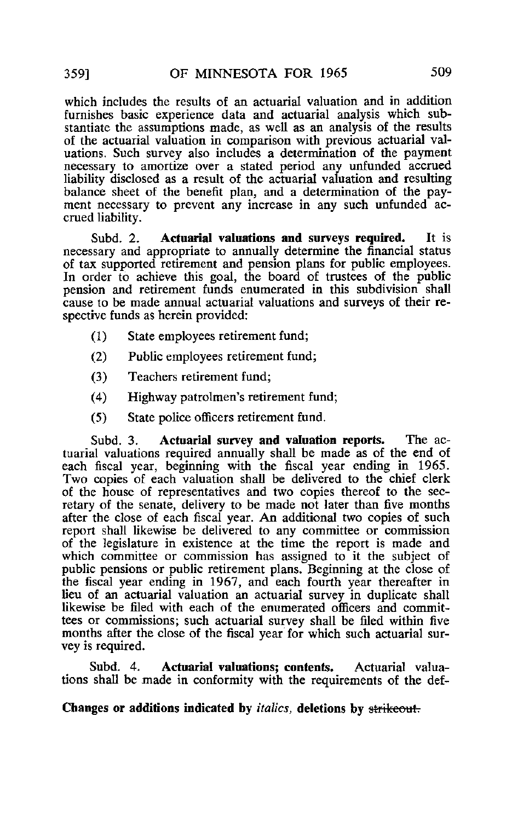which includes the results of an actuarial valuation and in addition furnishes basic experience data and actuarial analysis which substantiate the assumptions made, as well as an analysis of the results of the actuarial valuation in comparison with previous actuarial valuations. Such survey also includes a determination of the payment necessary to amortize over a stated period any unfunded accrued liability disclosed as a result of the actuarial valuation and resulting balance sheet of the benefit plan, and a determination of the payment necessary to prevent any increase in any such unfunded accrued liability.

Subd. 2. Actuarial valuations and surveys required. It is necessary and appropriate to annually determine the financial status of tax supported retirement and pension plans for public employees. In order to achieve this goal, the board of trustees of the public pension and retirement funds enumerated in this subdivision shall cause to be made annual actuarial valuations and surveys of their respective funds as herein provided:

- (1) State employees retirement fund;
- (2) Public employees retirement fund;
- (3) Teachers retirement fund;
- (4) Highway patrolmen's retirement fund;
- (5) State police officers retirement fund.

Subd. 3. Actuarial survey and valuation reports. The actuarial valuations required annually shall be made as of the end of each fiscal year, beginning with the fiscal year ending in 1965. Two copies of each valuation shall be delivered to the chief clerk of the house of representatives and two copies thereof to the secretary of the senate, delivery to be made not later than five months after the close of each fiscal year. An additional two copies of such report shall likewise be delivered to any committee or commission of the legislature in existence at the time the report is made and which committee or commission has assigned to it the subject of public pensions or public retirement plans. Beginning at the close of the fiscal year ending in 1967, and each fourth year thereafter in lieu of an actuarial valuation an actuarial survey in duplicate shall likewise be filed with each of the enumerated officers and committees or commissions; such actuarial survey shall be filed within five months after the close of the fiscal year for which such actuarial survey is required.

Subd. 4. Actuarial valuations; contents. Actuarial valuations shall be made in conformity with the requirements of the def-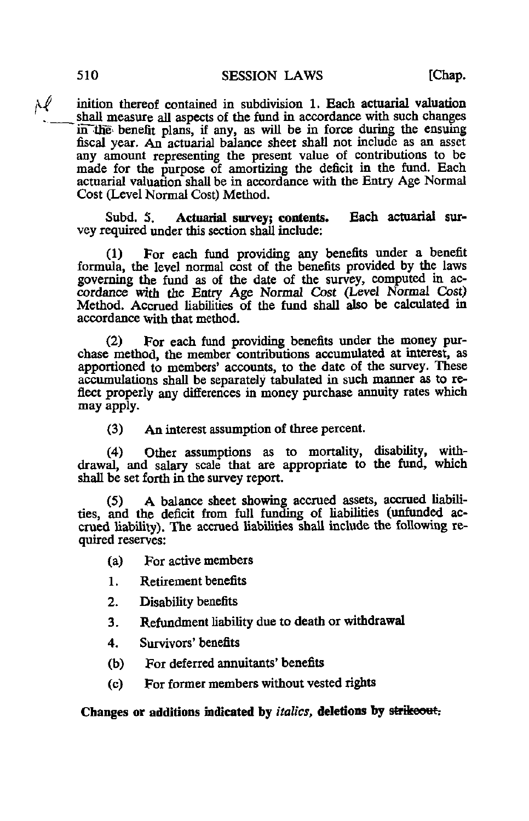rl inition thereof contained in subdivision 1. Each actuarial valuation shall measure all aspects of the fund in accordance with such changes in the benefit plans, if any, as will be in force during the ensuing fiscal year. An actuarial balance sheet shall not include as an asset any amount representing the present value of contributions to be made for the purpose of amortizing the deficit in the fund. Each actuarial valuation shall be in accordance with the Entry Age Normal Cost (Level Normal Cost) Method.

Subd. 5. Actuarial survey; contents. Each actuarial survey required under this section shall include:

(1) For each fund providing any benefits under a benefit formula, the level normal cost of the benefits provided by the laws governing the fund as of the date of the survey, computed in accordance with the Entry Age Normal Cost (Level Normal Cost) Method. Accrued liabilities of the fund shall also be calculated in accordance with that method.

(2) For each fund providing benefits under the money purchase method, the member contributions accumulated at interest, as apportioned to members' accounts, to the date of the survey. These accumulations shall be separately tabulated in such manner as to reflect properly any differences in money purchase annuity rates which may apply.

(3) An interest assumption of three percent.

(4) Other assumptions as to mortality, disability, withdrawal, and salary scale that are appropriate to the fund, which shall be set forth in the survey report.

(5) A balance sheet showing accrued assets, accrued liabilities, and the deficit from full funding of liabilities (unfunded accrued liability). The accrued liabilities shall include the following required reserves:

- (a) For active members
- 1. Retirement benefits
- 2. Disability benefits
- 3. Refundment liability due to death or withdrawal
- 4. Survivors' benefits
- (b) For deferred annuitants' benefits
- (c) For former members without vested rights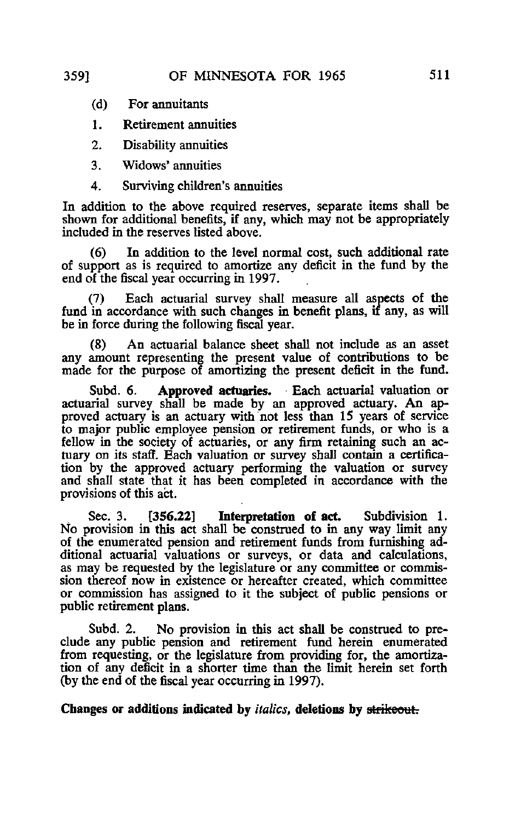- (d) For annuitants
- 1. Retirement annuities
- 2. Disability annuities
- 3. Widows' annuities
- 4. Surviving children's annuities

In addition to the above required reserves, separate items shall be shown for additional benefits, if any, which may not be appropriately included in the reserves listed above.

(6) In addition to the level normal cost, such additional rate of support as is required to amortize any deficit in the fund by the end of the fiscal year occurring in 1997.

(7) Each actuarial survey shall measure all aspects of the fund in accordance with such changes in benefit plans, if any, as will be in force during the following fiscal year.

(8) An actuarial balance sheet shall not include as an asset any amount representing the present value of contributions to be made for the purpose of amortizing the present deficit in the fund.

Subd. 6. Approved actuaries. Each actuarial valuation or actuarial survey shall be made by an approved actuary. An approved actuary is an actuary with not less than 15 years of service to major public employee pension or retirement funds, or who is a fellow in the society of actuaries, or any firm retaining such an actuary on its staff. Each valuation or survey shall contain a certification by the approved actuary performing the valuation or survey and shall state that it has been completed in accordance with the provisions of this act.

Sec. 3. [356.22] Interpretation of act. Subdivision 1. No provision in this act shall be construed to in any way limit any of the enumerated pension and retirement funds from furnishing additional actuarial valuations or surveys, or data and calculations, as may be requested by the legislature or any committee or commission thereof now in existence or hereafter created, which committee or commission has assigned to it the subject of public pensions or public retirement plans.

Subd. 2. No provision in this act shall be construed to preclude any public pension and retirement fund herein enumerated from requesting, or the legislature from providing for, the amortization of any deficit in a shorter time than the limit herein set forth (by the end of the fiscal year occurring in 1997).